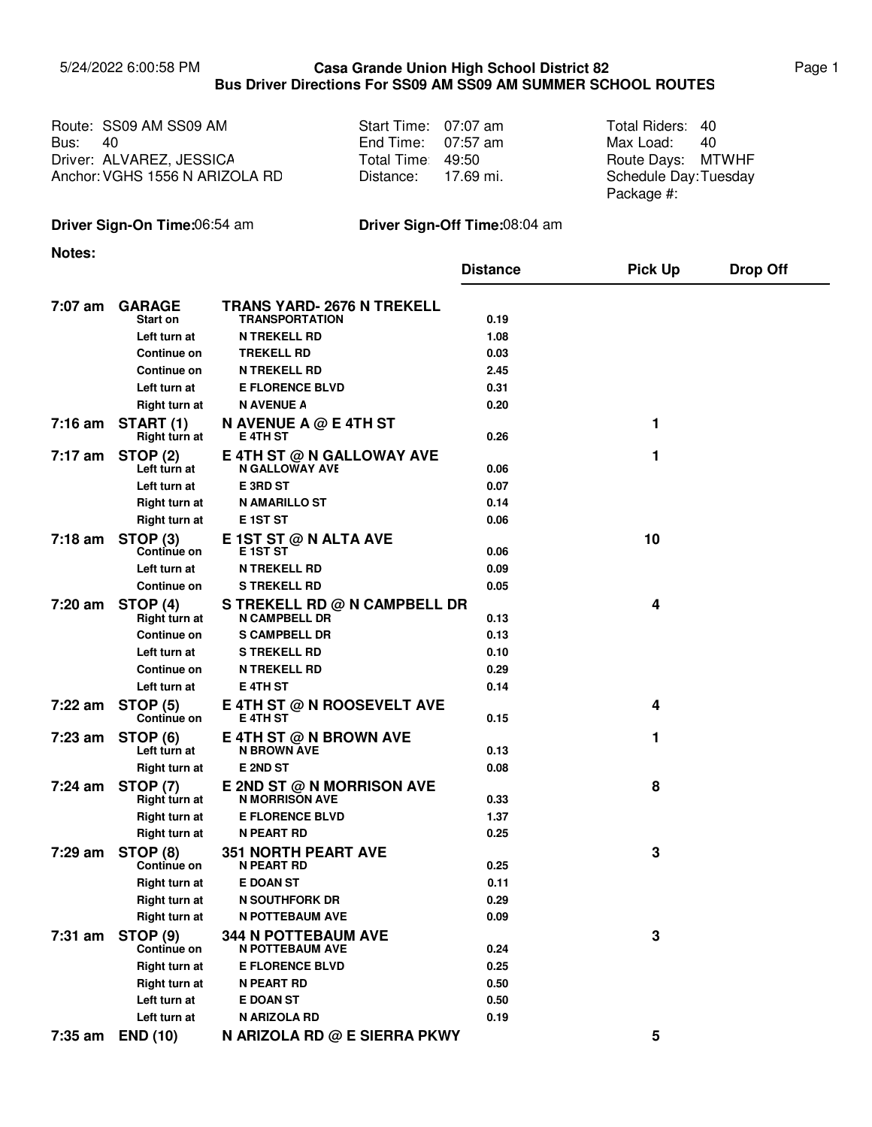## 5/24/2022 6:00:58 PM Page 1 **Casa Grande Union High School District 82 Bus Driver Directions For SS09 AM SS09 AM SUMMER SCHOOL ROUTES**

| Route: SS09 AM SS09 AM         | Start Time: 07:07 am | Total Riders: 40                   |      |
|--------------------------------|----------------------|------------------------------------|------|
| <b>Bus:</b> 40                 | End Time: $07:57$ am | Max Load:                          | - 40 |
| Driver: ALVAREZ, JESSICA       | Total Time 49:50     | Route Days: MTWHF                  |      |
| Anchor: VGHS 1556 N ARIZOLA RD | Distance: 17.69 mi.  | Schedule Day:Tuesday<br>Package #: |      |

## **Driver Sign-On Time:**06:54 am **Driver Sign-Off Time:**08:04 am

**Notes:**

|           |                                  |                                                      | <b>Distance</b> | <b>Pick Up</b> | <b>Drop Off</b> |
|-----------|----------------------------------|------------------------------------------------------|-----------------|----------------|-----------------|
| 7:07 am   |                                  | <b>TRANS YARD- 2676 N TREKELL</b>                    |                 |                |                 |
|           | <b>GARAGE</b><br><b>Start on</b> | <b>TRANSPORTATION</b>                                | 0.19            |                |                 |
|           | Left turn at                     | <b>N TREKELL RD</b>                                  | 1.08            |                |                 |
|           | Continue on                      | <b>TREKELL RD</b>                                    | 0.03            |                |                 |
|           | Continue on                      | <b>N TREKELL RD</b>                                  | 2.45            |                |                 |
|           | Left turn at                     | <b>E FLORENCE BLVD</b>                               | 0.31            |                |                 |
|           | Right turn at                    | <b>N AVENUE A</b>                                    | 0.20            |                |                 |
| $7:16$ am | <b>START (1)</b>                 | N AVENUE A @ E 4TH ST                                |                 | 1              |                 |
|           | Right turn at                    | E 4TH ST                                             | 0.26            |                |                 |
| 7:17 am   | STOP (2)                         | E 4TH ST @ N GALLOWAY AVE                            |                 | 1              |                 |
|           | Left turn at                     | <b>N GALLOWAY AVE</b>                                | 0.06            |                |                 |
|           | Left turn at                     | E 3RD ST                                             | 0.07            |                |                 |
|           | Right turn at                    | <b>N AMARILLO ST</b>                                 | 0.14            |                |                 |
|           | Right turn at                    | <b>E</b> 1ST ST                                      | 0.06            |                |                 |
| 7:18 am   | STOP <sub>(3)</sub>              | E 1ST ST @ N ALTA AVE                                |                 | 10             |                 |
|           | Continue on                      | E 1ST ST                                             | 0.06            |                |                 |
|           | Left turn at                     | <b>N TREKELL RD</b>                                  | 0.09            |                |                 |
|           | Continue on                      | <b>S TREKELL RD</b>                                  | 0.05            |                |                 |
| $7:20$ am | STOP (4)<br>Right turn at        | S TREKELL RD @ N CAMPBELL DR<br><b>N CAMPBELL DR</b> | 0.13            | 4              |                 |
|           | Continue on                      | <b>S CAMPBELL DR</b>                                 | 0.13            |                |                 |
|           | Left turn at                     | <b>S TREKELL RD</b>                                  | 0.10            |                |                 |
|           | Continue on                      | <b>N TREKELL RD</b>                                  | 0.29            |                |                 |
|           | Left turn at                     | E 4TH ST                                             | 0.14            |                |                 |
| 7:22 am   | <b>STOP (5)</b><br>Continue on   | E 4TH ST @ N ROOSEVELT AVE<br><b>E 4TH ST</b>        | 0.15            | 4              |                 |
| 7:23 am   | <b>STOP (6)</b><br>Left turn at  | E 4TH ST @ N BROWN AVE<br><b>N BROWN AVE</b>         | 0.13            | 1              |                 |
|           | Right turn at                    | <b>E2ND ST</b>                                       | 0.08            |                |                 |
| 7:24 am   | <b>STOP (7)</b><br>Right turn at | E 2ND ST @ N MORRISON AVE<br><b>N MORRISON AVE</b>   | 0.33            | 8              |                 |
|           | Right turn at                    | <b>E FLORENCE BLVD</b>                               | 1.37            |                |                 |
|           | <b>Right turn at</b>             | <b>N PEART RD</b>                                    | 0.25            |                |                 |
| 7:29 am   | STOP (8)<br>Continue on          | <b>351 NORTH PEART AVE</b><br><b>N PEART RD</b>      | 0.25            | 3              |                 |
|           | Right turn at                    | <b>E DOAN ST</b>                                     | 0.11            |                |                 |
|           | Right turn at                    | N SOUTHFORK DR                                       | 0.29            |                |                 |
|           | <b>Right turn at</b>             | <b>N POTTEBAUM AVE</b>                               | 0.09            |                |                 |
| $7:31$ am | <b>STOP (9)</b>                  | <b>344 N POTTEBAUM AVE</b>                           |                 | 3              |                 |
|           | <b>Continue on</b>               | <b>N POTTEBAUM AVE</b>                               | 0.24            |                |                 |
|           | Right turn at                    | <b>E FLORENCE BLVD</b>                               | 0.25            |                |                 |
|           | <b>Right turn at</b>             | <b>N PEART RD</b>                                    | 0.50            |                |                 |
|           | Left turn at                     | <b>E DOAN ST</b>                                     | 0.50            |                |                 |
|           | Left turn at                     | N ARIZOLA RD                                         | 0.19            |                |                 |
| 7:35 am   | <b>END (10)</b>                  | N ARIZOLA RD @ E SIERRA PKWY                         |                 | 5              |                 |